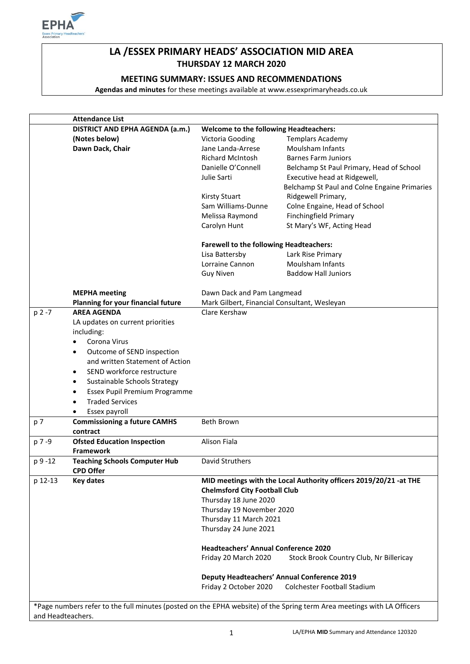

# **LA /ESSEX PRIMARY HEADS' ASSOCIATION MID AREA THURSDAY 12 MARCH 2020**

## **MEETING SUMMARY: ISSUES AND RECOMMENDATIONS**

**Agendas and minutes** for these meetings available at www.essexprimaryheads.co.uk

|                                                                                                                        | <b>Attendance List</b>                                            |                                                |                                                                   |  |
|------------------------------------------------------------------------------------------------------------------------|-------------------------------------------------------------------|------------------------------------------------|-------------------------------------------------------------------|--|
|                                                                                                                        | DISTRICT AND EPHA AGENDA (a.m.)                                   | <b>Welcome to the following Headteachers:</b>  |                                                                   |  |
|                                                                                                                        | (Notes below)                                                     | Victoria Gooding                               | <b>Templars Academy</b>                                           |  |
|                                                                                                                        | Dawn Dack, Chair                                                  | Jane Landa-Arrese                              | <b>Moulsham Infants</b>                                           |  |
|                                                                                                                        |                                                                   | <b>Richard McIntosh</b>                        | <b>Barnes Farm Juniors</b>                                        |  |
|                                                                                                                        |                                                                   | Danielle O'Connell                             | Belchamp St Paul Primary, Head of School                          |  |
|                                                                                                                        |                                                                   | Julie Sarti                                    | Executive head at Ridgewell,                                      |  |
|                                                                                                                        |                                                                   |                                                | Belchamp St Paul and Colne Engaine Primaries                      |  |
|                                                                                                                        |                                                                   | <b>Kirsty Stuart</b>                           | Ridgewell Primary,                                                |  |
|                                                                                                                        |                                                                   | Sam Williams-Dunne                             | Colne Engaine, Head of School                                     |  |
|                                                                                                                        |                                                                   | Melissa Raymond                                | <b>Finchingfield Primary</b>                                      |  |
|                                                                                                                        |                                                                   |                                                | St Mary's WF, Acting Head                                         |  |
|                                                                                                                        |                                                                   | Carolyn Hunt                                   |                                                                   |  |
|                                                                                                                        |                                                                   | <b>Farewell to the following Headteachers:</b> |                                                                   |  |
|                                                                                                                        |                                                                   | Lisa Battersby                                 | Lark Rise Primary                                                 |  |
|                                                                                                                        |                                                                   | Lorraine Cannon                                | <b>Moulsham Infants</b>                                           |  |
|                                                                                                                        |                                                                   | <b>Guy Niven</b>                               | <b>Baddow Hall Juniors</b>                                        |  |
|                                                                                                                        |                                                                   |                                                |                                                                   |  |
|                                                                                                                        | <b>MEPHA</b> meeting                                              | Dawn Dack and Pam Langmead                     |                                                                   |  |
|                                                                                                                        | Planning for your financial future                                | Mark Gilbert, Financial Consultant, Wesleyan   |                                                                   |  |
| p 2 -7                                                                                                                 | <b>AREA AGENDA</b>                                                | Clare Kershaw                                  |                                                                   |  |
|                                                                                                                        | LA updates on current priorities                                  |                                                |                                                                   |  |
|                                                                                                                        | including:                                                        |                                                |                                                                   |  |
|                                                                                                                        | Corona Virus<br>$\bullet$                                         |                                                |                                                                   |  |
|                                                                                                                        | Outcome of SEND inspection<br>$\bullet$                           |                                                |                                                                   |  |
|                                                                                                                        | and written Statement of Action                                   |                                                |                                                                   |  |
|                                                                                                                        | SEND workforce restructure<br>$\bullet$                           |                                                |                                                                   |  |
|                                                                                                                        | Sustainable Schools Strategy<br>٠                                 |                                                |                                                                   |  |
|                                                                                                                        | Essex Pupil Premium Programme<br>$\bullet$                        |                                                |                                                                   |  |
|                                                                                                                        | <b>Traded Services</b><br>$\bullet$                               |                                                |                                                                   |  |
|                                                                                                                        |                                                                   |                                                |                                                                   |  |
| p 7                                                                                                                    | Essex payroll<br>$\bullet$<br><b>Commissioning a future CAMHS</b> | <b>Beth Brown</b>                              |                                                                   |  |
|                                                                                                                        | contract                                                          |                                                |                                                                   |  |
| p 7-9                                                                                                                  | <b>Ofsted Education Inspection</b>                                | Alison Fiala                                   |                                                                   |  |
|                                                                                                                        | <b>Framework</b>                                                  |                                                |                                                                   |  |
| p 9 -12                                                                                                                | <b>Teaching Schools Computer Hub</b>                              | David Struthers                                |                                                                   |  |
|                                                                                                                        | <b>CPD Offer</b>                                                  |                                                |                                                                   |  |
| p 12-13                                                                                                                | Key dates                                                         |                                                | MID meetings with the Local Authority officers 2019/20/21 -at THE |  |
|                                                                                                                        |                                                                   | <b>Chelmsford City Football Club</b>           |                                                                   |  |
|                                                                                                                        |                                                                   | Thursday 18 June 2020                          |                                                                   |  |
|                                                                                                                        |                                                                   | Thursday 19 November 2020                      |                                                                   |  |
|                                                                                                                        |                                                                   | Thursday 11 March 2021                         |                                                                   |  |
|                                                                                                                        |                                                                   | Thursday 24 June 2021                          |                                                                   |  |
|                                                                                                                        |                                                                   |                                                |                                                                   |  |
|                                                                                                                        |                                                                   | <b>Headteachers' Annual Conference 2020</b>    |                                                                   |  |
|                                                                                                                        |                                                                   | Friday 20 March 2020                           | Stock Brook Country Club, Nr Billericay                           |  |
|                                                                                                                        |                                                                   |                                                |                                                                   |  |
|                                                                                                                        |                                                                   |                                                | <b>Deputy Headteachers' Annual Conference 2019</b>                |  |
|                                                                                                                        |                                                                   | Friday 2 October 2020                          | Colchester Football Stadium                                       |  |
|                                                                                                                        |                                                                   |                                                |                                                                   |  |
| *Page numbers refer to the full minutes (posted on the EPHA website) of the Spring term Area meetings with LA Officers |                                                                   |                                                |                                                                   |  |
| and Headteachers.                                                                                                      |                                                                   |                                                |                                                                   |  |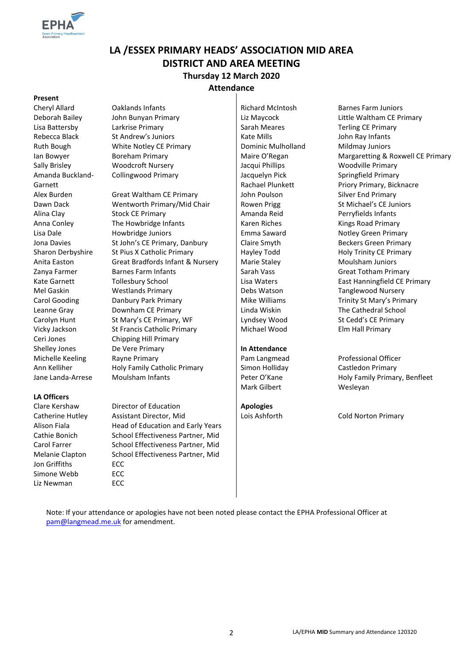

# **LA /ESSEX PRIMARY HEADS' ASSOCIATION MID AREA DISTRICT AND AREA MEETING Thursday 12 March 2020 Attendance**

#### **Present**

Amanda Buckland-Garnett

#### **LA Officers**

Jon Griffiths ECC Simone Webb ECC Liz Newman ECC

Cheryl Allard Caklands Infants Richard McIntosh Barnes Farm Juniors Lisa Battersby Larkrise Primary **Sarah Meares** Sarah Meares Terling CE Primary Rebecca Black St Andrew's Juniors Research Hotel Kate Mills St Andrew's Juniors Research Hotel Kate Mills Andrew Ruth Bough **White Notley CE Primary Communic Mulholland** Mildmay Juniors Sally Brisley **Woodcroft Nursery Community Community** Jacqui Phillips Woodville Primary Collingwood Primary **Jacquelyn Pick** 

Alex Burden Great Waltham CE Primary John Poulson Silver End Primary Dawn Dack Wentworth Primary/Mid Chair Rowen Prigg St Michael's CE Juniors Alina Clay Stock CE Primary Amanda Reid Perryfields Infants Anna Conley The Howbridge Infants National Karen Riches Kings Road Primary Lisa Dale **Emma Saward** Howbridge Juniors **Emma Saward** Notley Green Primary Jona Davies St John's CE Primary, Danbury Claire Smyth Beckers Green Primary Sharon Derbyshire St Pius X Catholic Primary Hayley Todd Holy Trinity CE Primary Anita Easton Great Bradfords Infant & Nursery | Marie Staley Moulsham Juniors Zanya Farmer Barnes Farm Infants Sarah Vass Sarah Vass Great Totham Primary Kate Garnett Follesbury School **Lisa Waters** East Hanningfield CE Primary Mel Gaskin **Westlands Primary Community** Debs Watson Tanglewood Nursery Carol Gooding **Danbury Park Primary Mike Williams** Trinity St Mary's Primary Leanne Gray **Downham CE Primary** Linda Wiskin The Cathedral School Carolyn Hunt St Mary's CE Primary, WF Lyndsey Wood St Cedd's CE Primary Vicky Jackson St Francis Catholic Primary Michael Wood Elm Hall Primary Ceri Jones Chipping Hill Primary Shelley Jones De Vere Primary **In Attendance** Michelle Keeling Rayne Primary **Pam Langmead** Professional Officer Ann Kelliher **Holy Family Catholic Primary** Simon Holliday Castledon Primary Jane Landa-Arrese Moulsham Infants **Peter O'Kane** Peter O'Kane Holy Family Primary, Benfleet

Clare Kershaw Director of Education **Apologies** Catherine Hutley Assistant Director, Mid Lois Ashforth Cold Norton Primary Alison Fiala **Head of Education and Early Years** Cathie Bonich School Effectiveness Partner, Mid Carol Farrer School Effectiveness Partner, Mid Melanie Clapton School Effectiveness Partner, Mid

Rachael Plunkett

Mark Gilbert Wesleyan

Deborah Bailey John Bunyan Primary Liz Maycock Little Waltham CE Primary Ian Bowyer **Boreham Primary Boreham Primary Maire O'Regan** Margaretting & Roxwell CE Primary Springfield Primary Priory Primary, Bicknacre

Note: If your attendance or apologies have not been noted please contact the EPHA Professional Officer at [pam@langmead.me.uk](mailto:pam@langmead.me.uk) for amendment.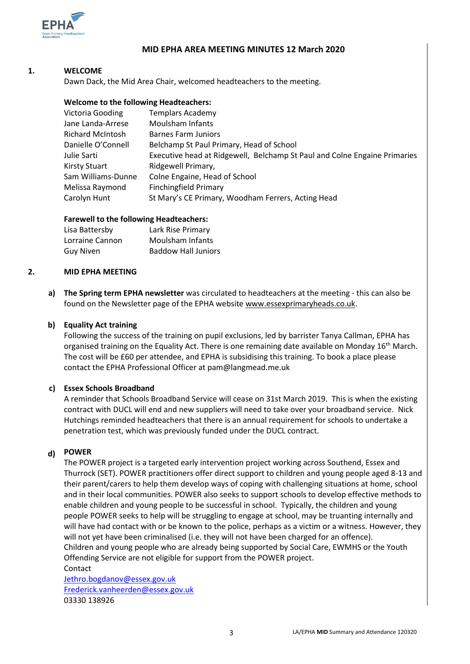

## **MID EPHA AREA MEETING MINUTES 12 March 2020**

#### **1. WELCOME**

Dawn Dack, the Mid Area Chair, welcomed headteachers to the meeting.

#### **Welcome to the following Headteachers:**

| <b>Templars Academy</b>                                                   |
|---------------------------------------------------------------------------|
| Moulsham Infants                                                          |
| <b>Barnes Farm Juniors</b>                                                |
| Belchamp St Paul Primary, Head of School                                  |
| Executive head at Ridgewell, Belchamp St Paul and Colne Engaine Primaries |
| Ridgewell Primary,                                                        |
| Colne Engaine, Head of School                                             |
| <b>Finchingfield Primary</b>                                              |
| St Mary's CE Primary, Woodham Ferrers, Acting Head                        |
|                                                                           |

#### **Farewell to the following Headteachers:**

| Lisa Battersby  | Lark Rise Primary          |
|-----------------|----------------------------|
| Lorraine Cannon | Moulsham Infants           |
| Guy Niven       | <b>Baddow Hall Juniors</b> |

#### **2. MID EPHA MEETING**

**a) The Spring term EPHA newsletter** was circulated to headteachers at the meeting - this can also be found on the Newsletter page of the EPHA website [www.essexprimaryheads.co.uk.](http://www.essexprimaryheads.co.uk/)

### **b) Equality Act training**

Following the success of the training on pupil exclusions, led by barrister Tanya Callman, EPHA has organised training on the Equality Act. There is one remaining date available on Monday 16<sup>th</sup> March. The cost will be £60 per attendee, and EPHA is subsidising this training. To book a place please contact the EPHA Professional Officer at pam@langmead.me.uk

#### **c) Essex Schools Broadband**

A reminder that Schools Broadband Service will cease on 31st March 2019. This is when the existing contract with DUCL will end and new suppliers will need to take over your broadband service. Nick Hutchings reminded headteachers that there is an annual requirement for schools to undertake a penetration test, which was previously funded under the DUCL contract.

#### **d) POWER**

The POWER project is a targeted early intervention project working across Southend, Essex and Thurrock (SET). POWER practitioners offer direct support to children and young people aged 8-13 and their parent/carers to help them develop ways of coping with challenging situations at home, school and in their local communities. POWER also seeks to support schools to develop effective methods to enable children and young people to be successful in school. Typically, the children and young people POWER seeks to help will be struggling to engage at school, may be truanting internally and will have had contact with or be known to the police, perhaps as a victim or a witness. However, they will not yet have been criminalised (i.e. they will not have been charged for an offence). Children and young people who are already being supported by Social Care, EWMHS or the Youth Offending Service are not eligible for support from the POWER project. **Contact** 

[Jethro.bogdanov@essex.gov.uk](mailto:Jethro.bogdanov@essex.gov.uk) [Frederick.vanheerden@essex.gov.uk](mailto:Frederick.vanheerden@essex.gov.uk) 03330 138926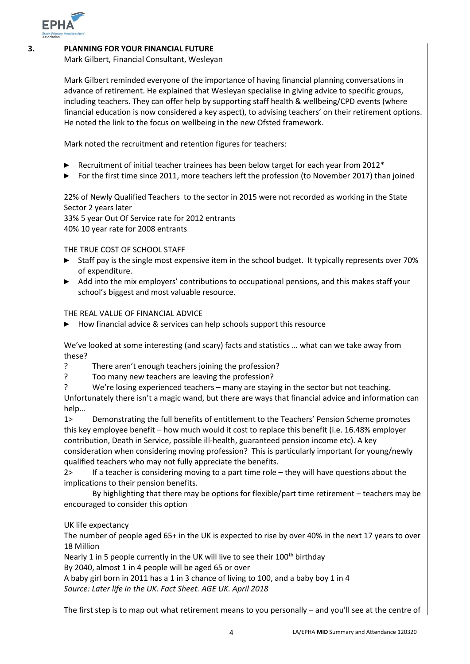

### **3. PLANNING FOR YOUR FINANCIAL FUTURE**

Mark Gilbert, Financial Consultant, Wesleyan

Mark Gilbert reminded everyone of the importance of having financial planning conversations in advance of retirement. He explained that Wesleyan specialise in giving advice to specific groups, including teachers. They can offer help by supporting staff health & wellbeing/CPD events (where financial education is now considered a key aspect), to advising teachers' on their retirement options. He noted the link to the focus on wellbeing in the new Ofsted framework.

Mark noted the recruitment and retention figures for teachers:

- ► Recruitment of initial teacher trainees has been below target for each year from  $2012*$
- ► For the first time since 2011, more teachers left the profession (to November 2017) than joined

22% of Newly Qualified Teachers to the sector in 2015 were not recorded as working in the State Sector 2 years later

33% 5 year Out Of Service rate for 2012 entrants 40% 10 year rate for 2008 entrants

THE TRUE COST OF SCHOOL STAFF

- ► Staff pay is the single most expensive item in the school budget. It typically represents over 70% of expenditure.
- ► Add into the mix employers' contributions to occupational pensions, and this makes staff your school's biggest and most valuable resource.

THE REAL VALUE OF FINANCIAL ADVICE

► How financial advice & services can help schools support this resource

We've looked at some interesting (and scary) facts and statistics … what can we take away from these?

- ? There aren't enough teachers joining the profession?
- ? Too many new teachers are leaving the profession?
- ? We're losing experienced teachers many are staying in the sector but not teaching.

Unfortunately there isn't a magic wand, but there are ways that financial advice and information can help…

1> Demonstrating the full benefits of entitlement to the Teachers' Pension Scheme promotes this key employee benefit – how much would it cost to replace this benefit (i.e. 16.48% employer contribution, Death in Service, possible ill-health, guaranteed pension income etc). A key consideration when considering moving profession? This is particularly important for young/newly qualified teachers who may not fully appreciate the benefits.

2> If a teacher is considering moving to a part time role – they will have questions about the implications to their pension benefits.

By highlighting that there may be options for flexible/part time retirement – teachers may be encouraged to consider this option

UK life expectancy

The number of people aged 65+ in the UK is expected to rise by over 40% in the next 17 years to over 18 Million

Nearly 1 in 5 people currently in the UK will live to see their 100<sup>th</sup> birthday

By 2040, almost 1 in 4 people will be aged 65 or over

A baby girl born in 2011 has a 1 in 3 chance of living to 100, and a baby boy 1 in 4 *Source: Later life in the UK. Fact Sheet. AGE UK. April 2018*

The first step is to map out what retirement means to you personally – and you'll see at the centre of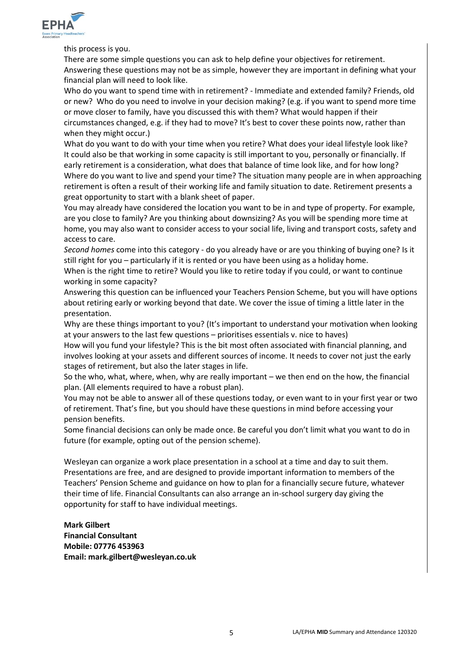

this process is you.

There are some simple questions you can ask to help define your objectives for retirement. Answering these questions may not be as simple, however they are important in defining what your financial plan will need to look like.

Who do you want to spend time with in retirement? - Immediate and extended family? Friends, old or new? Who do you need to involve in your decision making? (e.g. if you want to spend more time or move closer to family, have you discussed this with them? What would happen if their circumstances changed, e.g. if they had to move? It's best to cover these points now, rather than when they might occur.)

What do you want to do with your time when you retire? What does your ideal lifestyle look like? It could also be that working in some capacity is still important to you, personally or financially. If early retirement is a consideration, what does that balance of time look like, and for how long? Where do you want to live and spend your time? The situation many people are in when approaching retirement is often a result of their working life and family situation to date. Retirement presents a great opportunity to start with a blank sheet of paper.

You may already have considered the location you want to be in and type of property. For example, are you close to family? Are you thinking about downsizing? As you will be spending more time at home, you may also want to consider access to your social life, living and transport costs, safety and access to care.

*Second homes* come into this category - do you already have or are you thinking of buying one? Is it still right for you – particularly if it is rented or you have been using as a holiday home.

When is the right time to retire? Would you like to retire today if you could, or want to continue working in some capacity?

Answering this question can be influenced your Teachers Pension Scheme, but you will have options about retiring early or working beyond that date. We cover the issue of timing a little later in the presentation.

Why are these things important to you? (It's important to understand your motivation when looking at your answers to the last few questions – prioritises essentials v. nice to haves)

How will you fund your lifestyle? This is the bit most often associated with financial planning, and involves looking at your assets and different sources of income. It needs to cover not just the early stages of retirement, but also the later stages in life.

So the who, what, where, when, why are really important – we then end on the how, the financial plan. (All elements required to have a robust plan).

You may not be able to answer all of these questions today, or even want to in your first year or two of retirement. That's fine, but you should have these questions in mind before accessing your pension benefits.

Some financial decisions can only be made once. Be careful you don't limit what you want to do in future (for example, opting out of the pension scheme).

Wesleyan can organize a work place presentation in a school at a time and day to suit them. Presentations are free, and are designed to provide important information to members of the Teachers' Pension Scheme and guidance on how to plan for a financially secure future, whatever their time of life. Financial Consultants can also arrange an in-school surgery day giving the opportunity for staff to have individual meetings.

**Mark Gilbert Financial Consultant Mobile: 07776 453963 Email: mark.gilbert@wesleyan.co.uk**